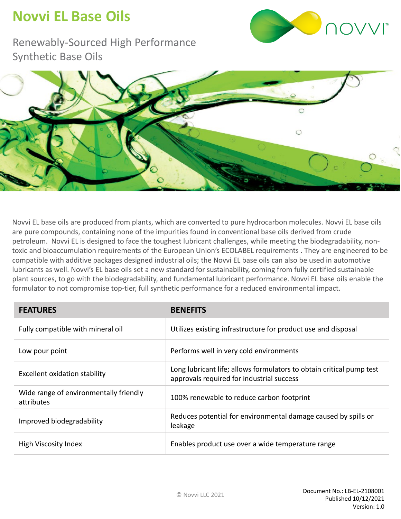## **Novvi EL Base Oils**



Renewably-Sourced High Performance Synthetic Base Oils



Novvi EL base oils are produced from plants, which are converted to pure hydrocarbon molecules. Novvi EL base oils are pure compounds, containing none of the impurities found in conventional base oils derived from crude petroleum. Novvi EL is designed to face the toughest lubricant challenges, while meeting the biodegradability, nontoxic and bioaccumulation requirements of the European Union's ECOLABEL requirements . They are engineered to be compatible with additive packages designed industrial oils; the Novvi EL base oils can also be used in automotive lubricants as well. Novvi's EL base oils set a new standard for sustainability, coming from fully certified sustainable plant sources, to go with the biodegradability, and fundamental lubricant performance. Novvi EL base oils enable the formulator to not compromise top-tier, full synthetic performance for a reduced environmental impact.

| <b>FEATURES</b>                                      | <b>BENEFITS</b>                                                                                                   |
|------------------------------------------------------|-------------------------------------------------------------------------------------------------------------------|
| Fully compatible with mineral oil                    | Utilizes existing infrastructure for product use and disposal                                                     |
| Low pour point                                       | Performs well in very cold environments                                                                           |
| Excellent oxidation stability                        | Long lubricant life; allows formulators to obtain critical pump test<br>approvals required for industrial success |
| Wide range of environmentally friendly<br>attributes | 100% renewable to reduce carbon footprint                                                                         |
| Improved biodegradability                            | Reduces potential for environmental damage caused by spills or<br>leakage                                         |
| High Viscosity Index                                 | Enables product use over a wide temperature range                                                                 |